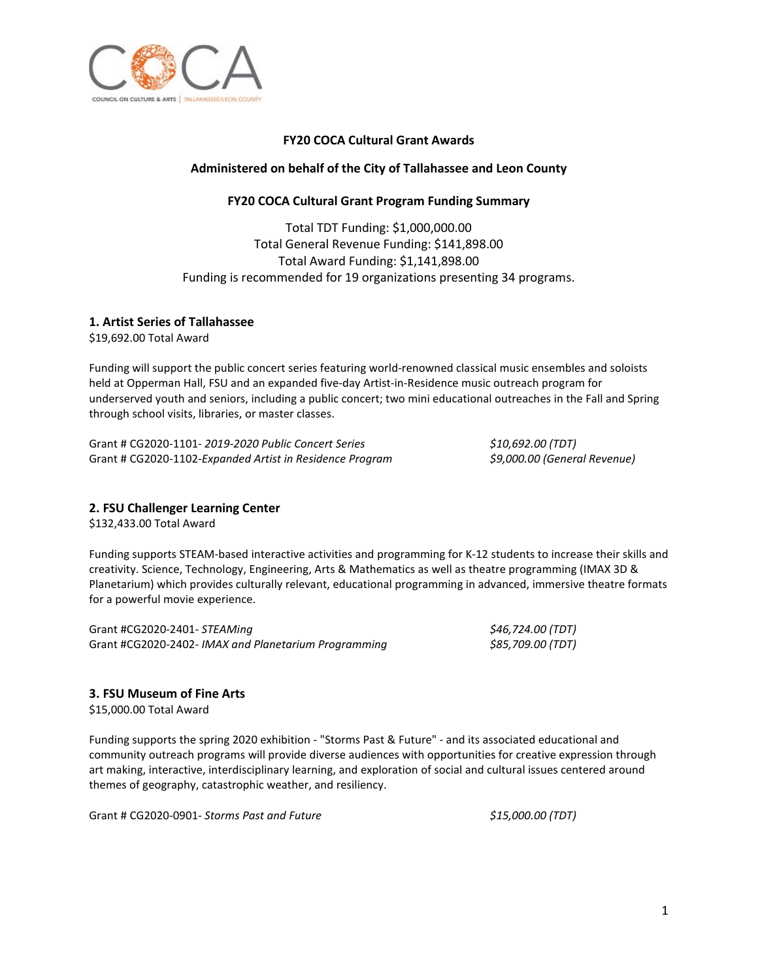

# **FY20 COCA Cultural Grant Awards**

## **Administered on behalf of the City of Tallahassee and Leon County**

# **FY20 COCA Cultural Grant Program Funding Summary**

Total TDT Funding: \$1,000,000.00 Total General Revenue Funding: \$141,898.00 Total Award Funding: \$1,141,898.00 Funding is recommended for 19 organizations presenting 34 programs.

# **1. Artist Series of Tallahassee**

\$19,692.00 Total Award

Funding will support the public concert series featuring world-renowned classical music ensembles and soloists held at Opperman Hall, FSU and an expanded five-day Artist-in-Residence music outreach program for underserved youth and seniors, including a public concert; two mini educational outreaches in the Fall and Spring through school visits, libraries, or master classes.

Grant # CG2020-1101*- 2019-2020 Public Concert Series \$10,692.00 (TDT)* Grant # CG2020-1102*-Expanded Artist in Residence Program \$9,000.00 (General Revenue)*

# **2. FSU Challenger Learning Center**

\$132,433.00 Total Award

Funding supports STEAM-based interactive activities and programming for K-12 students to increase their skills and creativity. Science, Technology, Engineering, Arts & Mathematics as well as theatre programming (IMAX 3D & Planetarium) which provides culturally relevant, educational programming in advanced, immersive theatre formats for a powerful movie experience.

Grant #CG2020-2401*- STEAMing \$46,724.00 (TDT)* Grant #CG2020-2402*- IMAX and Planetarium Programming \$85,709.00 (TDT)*

# **3. FSU Museum of Fine Arts**

\$15,000.00 Total Award

Funding supports the spring 2020 exhibition - "Storms Past & Future" - and its associated educational and community outreach programs will provide diverse audiences with opportunities for creative expression through art making, interactive, interdisciplinary learning, and exploration of social and cultural issues centered around themes of geography, catastrophic weather, and resiliency.

Grant # CG2020-0901*- Storms Past and Future \$15,000.00 (TDT)*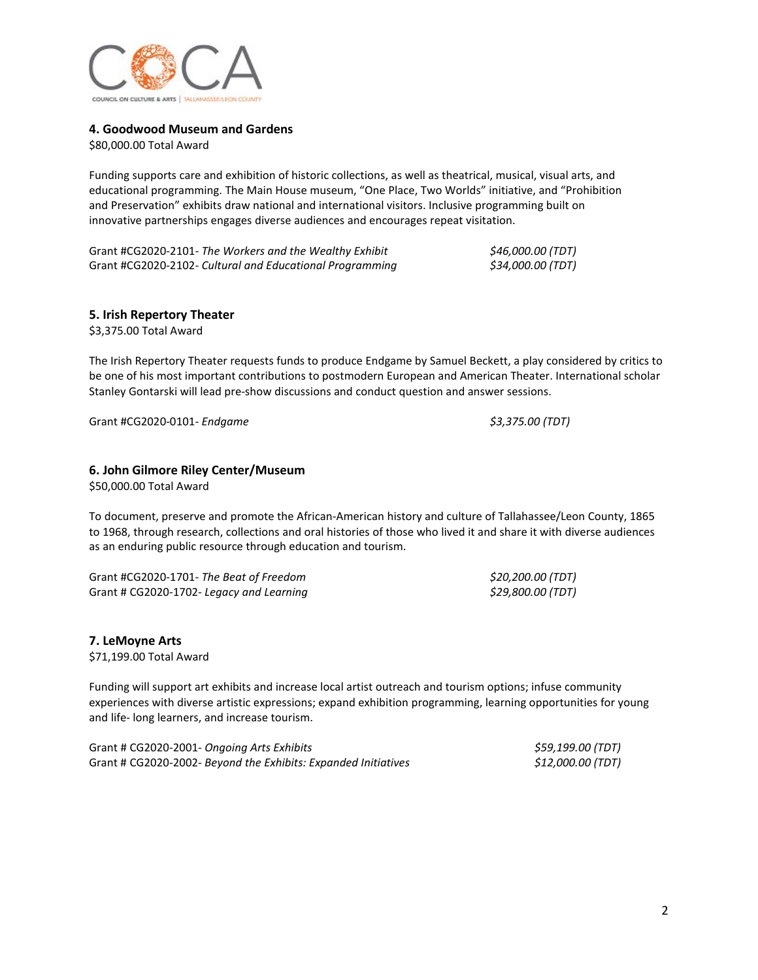

#### **4. Goodwood Museum and Gardens**

\$80,000.00 Total Award

Funding supports care and exhibition of historic collections, as well as theatrical, musical, visual arts, and educational programming. The Main House museum, "One Place, Two Worlds" initiative, and "Prohibition and Preservation" exhibits draw national and international visitors. Inclusive programming built on innovative partnerships engages diverse audiences and encourages repeat visitation.

Grant #CG2020-2101*- The Workers and the Wealthy Exhibit \$46,000.00 (TDT)* Grant #CG2020-2102*- Cultural and Educational Programming \$34,000.00 (TDT)*

#### **5. Irish Repertory Theater**

\$3,375.00 Total Award

The Irish Repertory Theater requests funds to produce Endgame by Samuel Beckett, a play considered by critics to be one of his most important contributions to postmodern European and American Theater. International scholar Stanley Gontarski will lead pre-show discussions and conduct question and answer sessions.

Grant #CG2020-0101*- Endgame \$3,375.00 (TDT)*

#### **6. John Gilmore Riley Center/Museum**

\$50,000.00 Total Award

To document, preserve and promote the African-American history and culture of Tallahassee/Leon County, 1865 to 1968, through research, collections and oral histories of those who lived it and share it with diverse audiences as an enduring public resource through education and tourism.

Grant #CG2020-1701- *The Beat of Freedom \$20,200.00 (TDT)* Grant # CG2020-1702*- Legacy and Learning \$29,800.00 (TDT)*

**7. LeMoyne Arts** \$71,199.00 Total Award

Funding will support art exhibits and increase local artist outreach and tourism options; infuse community experiences with diverse artistic expressions; expand exhibition programming, learning opportunities for young and life- long learners, and increase tourism.

| Grant # CG2020-2001- Ongoing Arts Exhibits                     | \$59,199.00 (TDT) |
|----------------------------------------------------------------|-------------------|
| Grant # CG2020-2002- Beyond the Exhibits: Expanded Initiatives | \$12,000.00 (TDT) |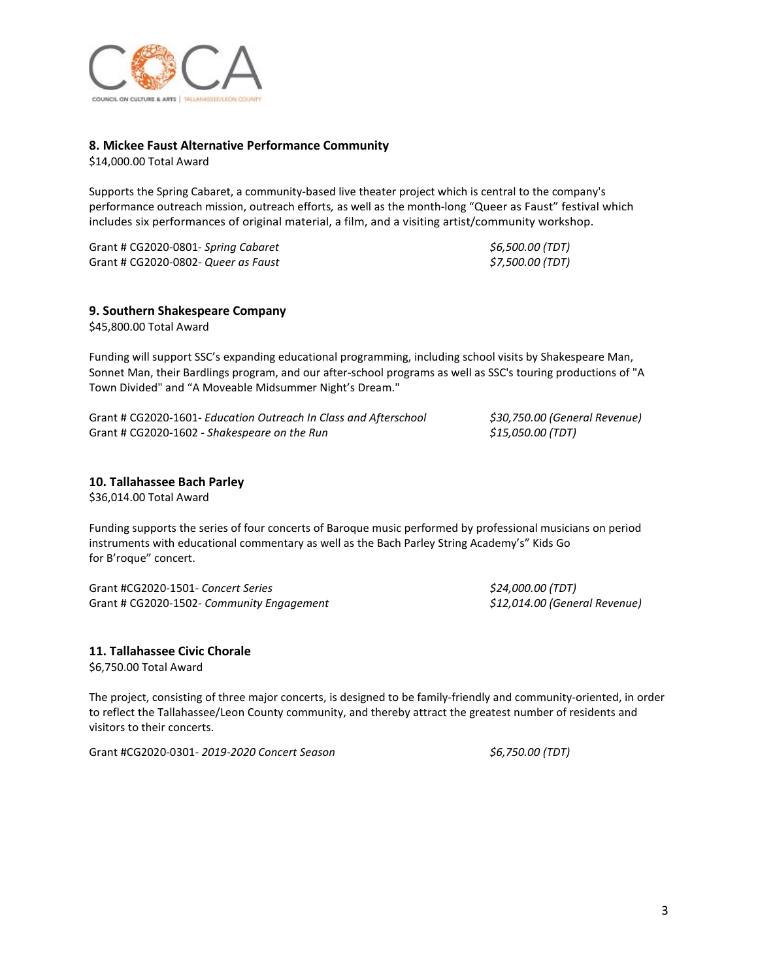

#### **8. Mickee Faust Alternative Performance Community**

\$14,000.00 Total Award

Supports the Spring Cabaret, a community-based live theater project which is central to the company's performance outreach mission, outreach efforts*,* as well as the month-long "Queer as Faust" festival which includes six performances of original material, a film, and a visiting artist/community workshop.

Grant # CG2020-0801- *Spring Cabaret \$6,500.00 (TDT)* Grant # CG2020-0802*- Queer as Faust \$7,500.00 (TDT)*

**9. Southern Shakespeare Company**

\$45,800.00 Total Award

Funding will support SSC's expanding educational programming, including school visits by Shakespeare Man, Sonnet Man, their Bardlings program, and our after-school programs as well as SSC's touring productions of "A Town Divided" and "A Moveable Midsummer Night's Dream."

Grant # CG2020-1601*- Education Outreach In Class and Afterschool \$30,750.00 (General Revenue)* Grant # CG2020-1602 - *Shakespeare on the Run \$15,050.00 (TDT)*

#### **10. Tallahassee Bach Parley**

\$36,014.00 Total Award

Funding supports the series of four concerts of Baroque music performed by professional musicians on period instruments with educational commentary as well as the Bach Parley String Academy's" Kids Go for B'roque" concert.

Grant #CG2020-1501*- Concert Series \$24,000.00 (TDT)* Grant # CG2020-1502*- Community Engagement \$12,014.00 (General Revenue)*

#### **11. Tallahassee Civic Chorale**

\$6,750.00 Total Award

The project, consisting of three major concerts, is designed to be family-friendly and community-oriented, in order to reflect the Tallahassee/Leon County community, and thereby attract the greatest number of residents and visitors to their concerts.

Grant #CG2020-0301*- 2019-2020 Concert Season \$6,750.00 (TDT)*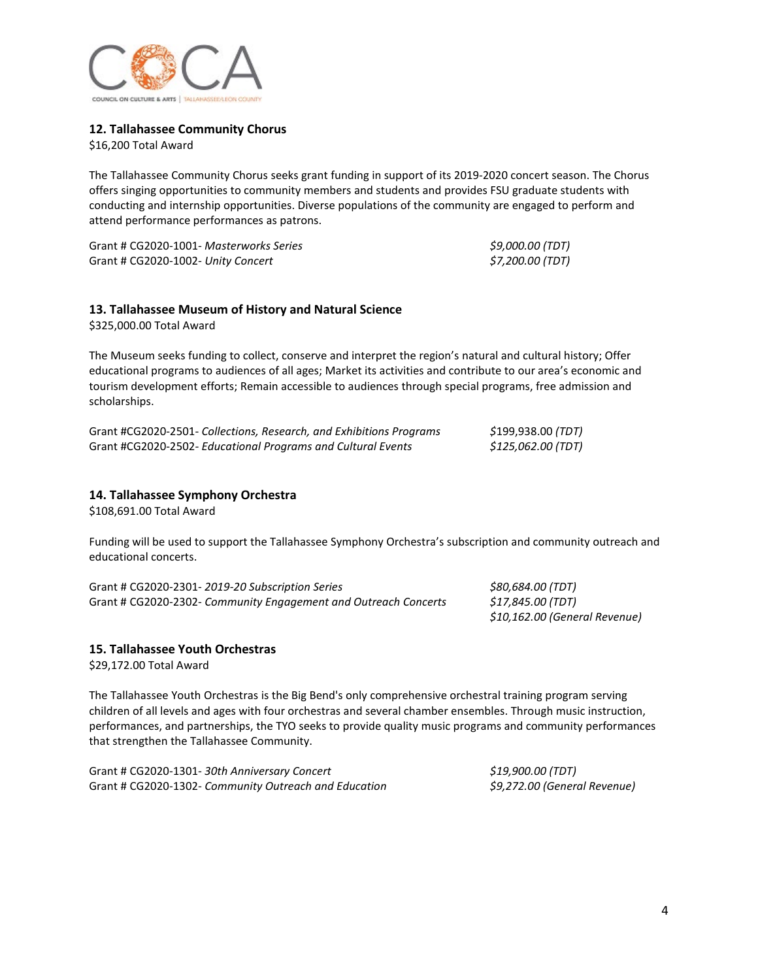

## **12. Tallahassee Community Chorus**

\$16,200 Total Award

The Tallahassee Community Chorus seeks grant funding in support of its 2019-2020 concert season. The Chorus offers singing opportunities to community members and students and provides FSU graduate students with conducting and internship opportunities. Diverse populations of the community are engaged to perform and attend performance performances as patrons.

Grant # CG2020-1001*- Masterworks Series \$9,000.00 (TDT)* Grant # CG2020-1002*- Unity Concert \$7,200.00 (TDT)*

## **13. Tallahassee Museum of History and Natural Science**

\$325,000.00 Total Award

The Museum seeks funding to collect, conserve and interpret the region's natural and cultural history; Offer educational programs to audiences of all ages; Market its activities and contribute to our area's economic and tourism development efforts; Remain accessible to audiences through special programs, free admission and scholarships.

| Grant #CG2020-2501- Collections, Research, and Exhibitions Programs | \$199,938.00 <i>(TDT)</i> |
|---------------------------------------------------------------------|---------------------------|
| Grant #CG2020-2502- Educational Programs and Cultural Events        | \$125,062.00 (TDT)        |

### **14. Tallahassee Symphony Orchestra**

\$108,691.00 Total Award

Funding will be used to support the Tallahassee Symphony Orchestra's subscription and community outreach and educational concerts.

Grant # CG2020-2301- *2019-20 Subscription Series \$80,684.00 (TDT)* Grant # CG2020-2302- *Community Engagement and Outreach Concerts \$17,845.00 (TDT)*

*\$10,162.00 (General Revenue)*

#### **15. Tallahassee Youth Orchestras**

\$29,172.00 Total Award

The Tallahassee Youth Orchestras is the Big Bend's only comprehensive orchestral training program serving children of all levels and ages with four orchestras and several chamber ensembles. Through music instruction, performances, and partnerships, the TYO seeks to provide quality music programs and community performances that strengthen the Tallahassee Community.

| Grant # CG2020-1301-30th Anniversary Concert          | <i>\$19,900.00 (TDT)</i>     |
|-------------------------------------------------------|------------------------------|
| Grant # CG2020-1302- Community Outreach and Education | \$9,272.00 (General Revenue) |